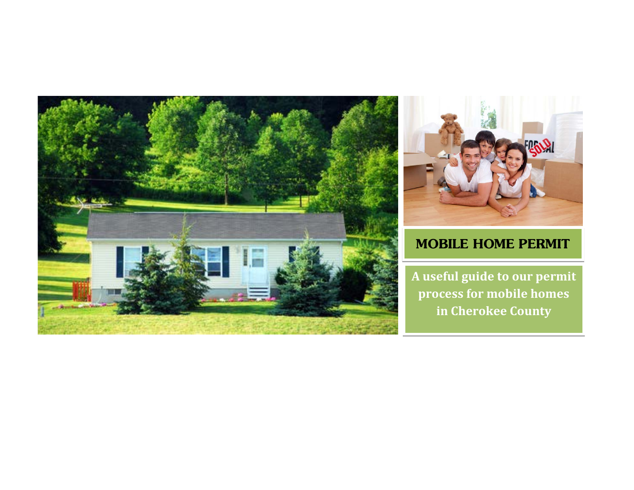



# **MOBILE HOME PERMIT**

**A useful guide to our permit process for mobile homes in Cherokee County**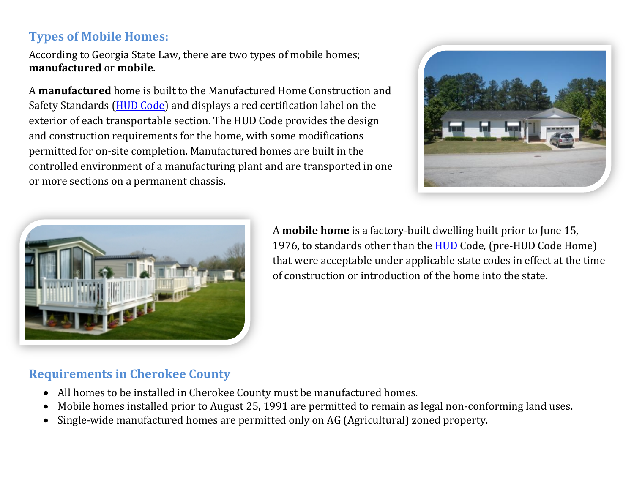## **Types of Mobile Homes:**

According to Georgia State Law, there are two types of mobile homes; **manufactured** or **mobile**.

A **manufactured** home is built to the Manufactured Home Construction and Safety Standards [\(HUD Code\)](http://portal.hud.gov/hudportal/HUD?src=/program_offices/housing/rmra/mhs/mhshome) and displays a red certification label on the exterior of each transportable section. The HUD Code provides the design and construction requirements for the home, with some modifications permitted for on-site completion. Manufactured homes are built in the controlled environment of a manufacturing plant and are transported in one or more sections on a permanent chassis.





A **mobile home** is a factory-built dwelling built prior to June 15, 1976, to standards other than the **HUD** Code, (pre-HUD Code Home) that were acceptable under applicable state codes in effect at the time of construction or introduction of the home into the state.

#### **Requirements in Cherokee County**

- All homes to be installed in Cherokee County must be manufactured homes.
- Mobile homes installed prior to August 25, 1991 are permitted to remain as legal non-conforming land uses.
- Single-wide manufactured homes are permitted only on AG (Agricultural) zoned property.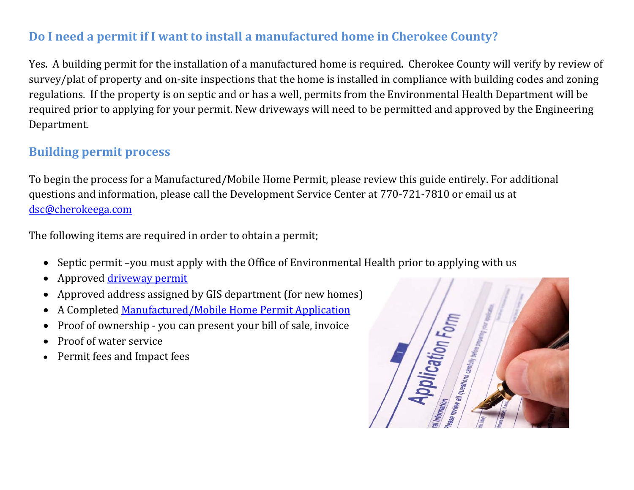### **Do I need a permit if I want to install a manufactured home in Cherokee County?**

Yes. A building permit for the installation of a manufactured home is required. Cherokee County will verify by review of survey/plat of property and on-site inspections that the home is installed in compliance with building codes and zoning regulations. If the property is on septic and or has a well, permits from the Environmental Health Department will be required prior to applying for your permit. New driveways will need to be permitted and approved by the Engineering Department.

# **Building permit process**

To begin the process for a Manufactured/Mobile Home Permit, please review this guide entirely. For additional questions and information, please call the Development Service Center at 770-721-7810 or email us at [dsc@cherokeega.com](mailto:dsc@cherokeega.com) 

The following items are required in order to obtain a permit;

- Septic permit –you must apply with the Office of Environmental Health prior to applying with us
- Approved [driveway permit](http://www.cherokeega.com/departments/engineering/uploads/file/forms/driveway_permit_application.pdf)
- Approved address assigned by GIS department (for new homes)
- A Completed Manufactured/Mobile Home Permit Application
- Proof of ownership you can present your bill of sale, invoice
- Proof of water service
- Permit fees and Impact fees

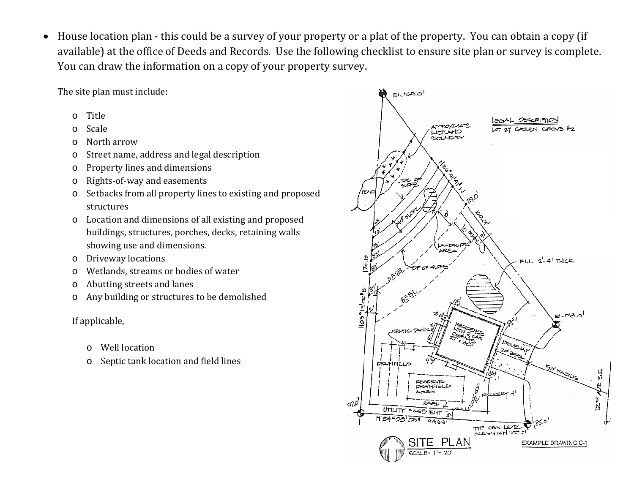• House location plan - this could be a survey of your property or a plat of the property. You can obtain a copy (if available) at the office of Deeds and Records. Use the following checklist to ensure site plan or survey is complete. You can draw the information on a copy of your property survey.

The site plan must include:

- o Title
- o Scale
- o North arrow
- o Street name, address and legal description
- o Property lines and dimensions
- o Rights-of-way and easements
- o Setbacks from all property lines to existing and proposed structures
- o Location and dimensions of all existing and proposed buildings, structures, porches, decks, retaining walls showing use and dimensions.
- o Driveway locations
- o Wetlands, streams or bodies of water
- o Abutting streets and lanes
- o Any building or structures to be demolished

#### If applicable,

- o Well location
- o Septic tank location and field lines

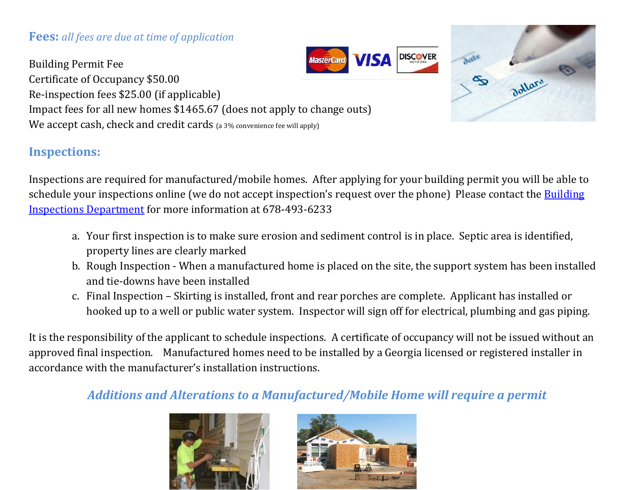#### **Fees:** *all fees are due at time of application*

VISA Building Permit Fee Certificate of Occupancy \$50.00 Re-inspection fees \$25.00 (if applicable) Impact fees for all new homes \$1465.67 (does not apply to change outs) We accept cash, check and credit cards (a 3% convenience fee will apply)

# **Inspections:**

Inspections are required for manufactured/mobile homes. After applying for your building permit you will be able to schedule your inspections online (we do not accept inspection's request over the phone) Please contact the Building [Inspections Department](http://www.cherokeega.com/departments/department.cfm?departmentid=40) for more information at 678-493-6233

- a. Your first inspection is to make sure erosion and sediment control is in place. Septic area is identified, property lines are clearly marked
- b. Rough Inspection When a manufactured home is placed on the site, the support system has been installed and tie-downs have been installed
- c. Final Inspection Skirting is installed, front and rear porches are complete. Applicant has installed or hooked up to a well or public water system. Inspector will sign off for electrical, plumbing and gas piping.

It is the responsibility of the applicant to schedule inspections. A certificate of occupancy will not be issued without an approved final inspection. Manufactured homes need to be installed by a Georgia licensed or registered installer in accordance with the manufacturer's installation instructions.

### *Additions and Alterations to a Manufactured/Mobile Home will require a permit*



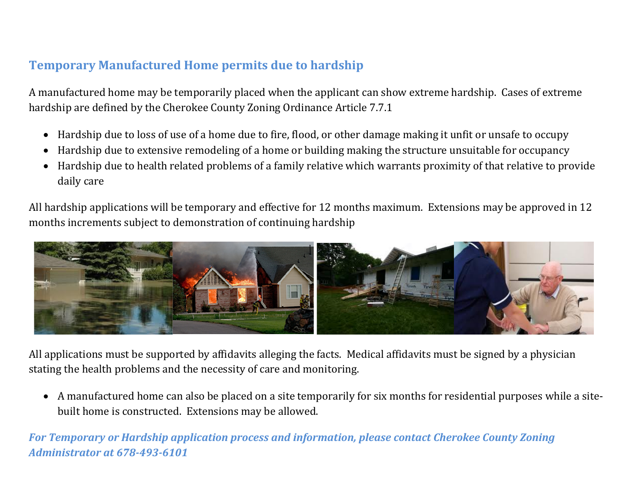# **Temporary Manufactured Home permits due to hardship**

A manufactured home may be temporarily placed when the applicant can show extreme hardship. Cases of extreme hardship are defined by the Cherokee County Zoning Ordinance Article 7.7.1

- Hardship due to loss of use of a home due to fire, flood, or other damage making it unfit or unsafe to occupy
- Hardship due to extensive remodeling of a home or building making the structure unsuitable for occupancy
- Hardship due to health related problems of a family relative which warrants proximity of that relative to provide daily care

All hardship applications will be temporary and effective for 12 months maximum. Extensions may be approved in 12 months increments subject to demonstration of continuing hardship



All applications must be supported by affidavits alleging the facts. Medical affidavits must be signed by a physician stating the health problems and the necessity of care and monitoring.

• A manufactured home can also be placed on a site temporarily for six months for residential purposes while a sitebuilt home is constructed. Extensions may be allowed.

*For Temporary or Hardship application process and information, please contact Cherokee County Zoning Administrator at 678-493-6101*